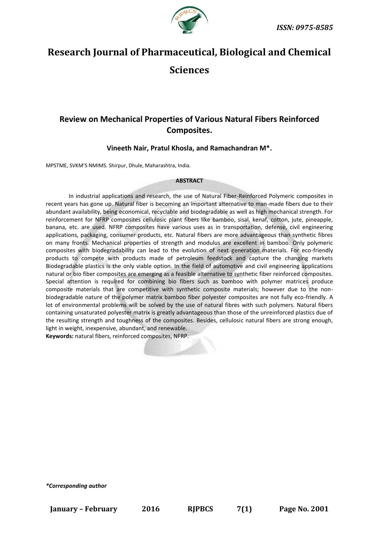

# **Research Journal of Pharmaceutical, Biological and Chemical Sciences**

## **Review on Mechanical Properties of Various Natural Fibers Reinforced Composites.**

### **Vineeth Nair, Pratul Khosla, and Ramachandran M\*.**

MPSTME, SVKM'S NMIMS. Shirpur, Dhule, Maharashtra, India.

#### **ABSTRACT**

In industrial applications and research, the use of Natural Fiber-Reinforced Polymeric composites in recent years has gone up. Natural fiber is becoming an important alternative to man-made fibers due to their abundant availability, being economical, recyclable and biodegradable as well as high mechanical strength. For reinforcement for NFRP composites cellulosic plant fibers like bamboo, sisal, kenaf, cotton, jute, pineapple, banana, etc. are used. NFRP composites have various uses as in transportation, defense, civil engineering applications, packaging, consumer products, etc. Natural fibers are more advantageous than synthetic fibres on many fronts. Mechanical properties of strength and modulus are excellent in bamboo. Only polymeric composites with biodegradability can lead to the evolution of next generation materials. For eco-friendly products to compete with products made of petroleum feedstock and capture the changing markets Biodegradable plastics is the only viable option. In the field of automotive and civil engineering applications natural or bio fiber composites are emerging as a feasible alternative to synthetic fiber reinforced composites. Special attention is required for combining bio fibers such as bamboo with polymer matrices produce composite materials that are competitive with synthetic composite materials; however due to the nonbiodegradable nature of the polymer matrix bamboo fiber polyester composites are not fully eco-friendly. A lot of environmental problems will be solved by the use of natural fibres with such polymers. Natural fibers containing unsaturated polyester matrix is greatly advantageous than those of the unreinforced plastics due of the resulting strength and toughness of the composites. Besides, cellulosic natural fibers are strong enough, light in weight, inexpensive, abundant, and renewable.

**Keywords:** natural fibers, reinforced composites, NFRP.

*\*Corresponding author*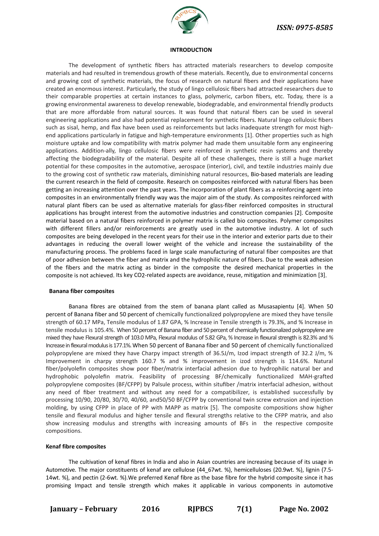

#### **INTRODUCTION**

The development of synthetic fibers has attracted materials researchers to develop composite materials and had resulted in tremendous growth of these materials. Recently, due to environmental concerns and growing cost of synthetic materials, the focus of research on natural fibers and their applications have created an enormous interest. Particularly, the study of lingo cellulosic fibers had attracted researchers due to their comparable properties at certain instances to glass, polymeric, carbon fibers, etc. Today, there is a growing environmental awareness to develop renewable, biodegradable, and environmental friendly products that are more affordable from natural sources. It was found that natural fibers can be used in several engineering applications and also had potential replacement for synthetic fibers. Natural lingo cellulosic fibers such as sisal, hemp, and flax have been used as reinforcements but lacks inadequate strength for most highend applications particularly in fatigue and high-temperature environments [1]. Other properties such as high moisture uptake and low compatibility with matrix polymer had made them unsuitable form any engineering applications. Addition-ally, lingo cellulosic fibers were reinforced in synthetic resin systems and thereby affecting the biodegradability of the material. Despite all of these challenges, there is still a huge market potential for these composites in the automotive, aerospace (interior), civil, and textile industries mainly due to the growing cost of synthetic raw materials, diminishing natural resources, Bio-based materials are leading the current research in the field of composite. Research on composites reinforced with natural fibers has been getting an increasing attention over the past years. The incorporation of plant fibers as a reinforcing agent into composites in an environmentally friendly way was the major aim of the study. As composites reinforced with natural plant fibers can be used as alternative materials for glass-fiber reinforced composites in structural applications has brought interest from the automotive industries and construction companies [2]. Composite material based on a natural fibers reinforced in polymer matrix is called bio composites. Polymer composites with different fillers and/or reinforcements are greatly used in the automotive industry. A lot of such composites are being developed in the recent years for their use in the interior and exterior parts due to their advantages in reducing the overall lower weight of the vehicle and increase the sustainability of the manufacturing process. The problems faced in large scale manufacturing of natural fiber composites are that of poor adhesion between the fiber and matrix and the hydrophilic nature of fibers. Due to the weak adhesion of the fibers and the matrix acting as binder in the composite the desired mechanical properties in the composite is not achieved. Its key CO2-related aspects are avoidance, reuse, mitigation and minimization [3].

#### **Banana fiber composites**

Banana fibres are obtained from the stem of banana plant called as Musasapientu [4]. When 50 percent of Banana fiber and 50 percent of chemically functionalized polypropylene are mixed they have tensile strength of 60.17 MPa, Tensile modulus of 1.87 GPA, % Increase in Tensile strength is 79.3%, and % Increase in tensile modulus is 105.4%. When 50 percent of Banana fiber and 50 percent of chemically functionalized polypropylene are mixed they have Flexural strength of 103.0 MPa, Flexural modulus of 5.82 GPa, % Increase in flexural strength is 82.3% and % Increase in flexural modulus is 177.1%. When 50 percent of Banana fiber and 50 percent of chemically functionalized polypropylene are mixed they have Charpy impact strength of 36.5J/m, Izod impact strength of 32.2 J/m, % Improvement in charpy strength 160.7 % and % improvement in izod strength is 114.6%. Natural fiber/polyolefin composites show poor fiber/matrix interfacial adhesion due to hydrophilic natural ber and hydrophobic polyolefin matrix. Feasibility of processing BF/chemically functionalized MAH-grafted polypropylene composites (BF/CFPP) by Palsule process, within situfiber /matrix interfacial adhesion, without any need of fiber treatment and without any need for a compatibilizer, is established successfully by processing 10/90, 20/80, 30/70, 40/60, and50/50 BF/CFPP by conventional twin screw extrusion and injection molding, by using CFPP in place of PP with MAPP as matrix [5]. The composite compositions show higher tensile and flexural modulus and higher tensile and flexural strengths relative to the CFPP matrix, and also show increasing modulus and strengths with increasing amounts of BFs in the respective composite compositions.

#### **Kenaf fibre composites**

The cultivation of kenaf fibres in India and also in Asian countries are increasing because of its usage in Automotive. The major constituents of kenaf are cellulose (44\_67wt. %), hemicelluloses (20.9wt. %), lignin (7.5- 14wt. %), and pectin (2-6wt. %).We preferred Kenaf fibre as the base fibre for the hybrid composite since it has promising Impact and tensile strength which makes it applicable in various components in automotive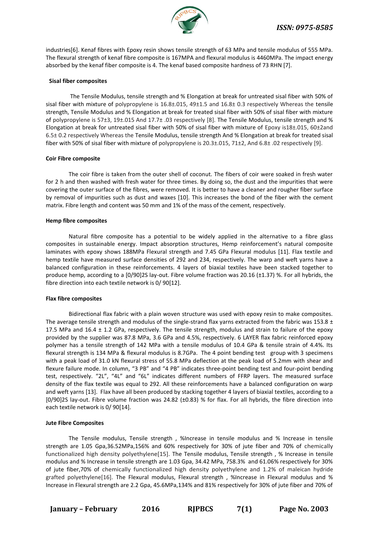

industries[6]. Kenaf fibres with Epoxy resin shows tensile strength of 63 MPa and tensile modulus of 555 MPa. The flexural strength of kenaf fibre composite is 167MPA and flexural modulus is 4460MPa. The impact energy absorbed by the kenaf fiber composite is 4. The kenaf based composite hardness of 73 RHN [7].

#### **Sisal fiber composites**

The Tensile Modulus, tensile strength and % Elongation at break for untreated sisal fiber with 50% of sisal fiber with mixture of polypropylene is 16.8±.015, 49±1.5 and 16.8± 0.3 respectively Whereas the tensile strength, Tensile Modulus and % Elongation at break for treated sisal fiber with 50% of sisal fiber with mixture of polypropylene is 57±3, 19±.015 And 17.7± .03 respectively [8]. The Tensile Modulus, tensile strength and % Elongation at break for untreated sisal fiber with 50% of sisal fiber with mixture of Epoxy is18±.015, 60±2and 6.5± 0.2 respectively Whereas the Tensile Modulus, tensile strength And % Elongation at break for treated sisal fiber with 50% of sisal fiber with mixture of polypropylene is 20.3±.015, 71±2, And 6.8± .02 respectively [9].

#### **Coir Fibre composite**

The coir fibre is taken from the outer shell of coconut. The fibers of coir were soaked in fresh water for 2 h and then washed with fresh water for three times. By doing so, the dust and the impurities that were covering the outer surface of the fibres, were removed. It is better to have a cleaner and rougher fiber surface by removal of impurities such as dust and waxes [10]. This increases the bond of the fiber with the cement matrix. Fibre length and content was 50 mm and 1% of the mass of the cement, respectively.

#### **Hemp fibre composites**

Natural fibre composite has a potential to be widely applied in the alternative to a fibre glass composites in sustainable energy. Impact absorption structures, Hemp reinforcement's natural composite laminates with epoxy shows 188MPa Flexural strength and 7.45 GPa Flexural modulus [11]. Flax textile and hemp textile have measured surface densities of 292 and 234, respectively. The warp and weft yarns have a balanced configuration in these reinforcements. 4 layers of biaxial textiles have been stacked together to produce hemp, according to a [0/90]2S lay-out. Fibre volume fraction was 20.16 (±1.37) %. For all hybrids, the fibre direction into each textile network is 0/90[12].

#### **Flax fibre composites**

Bidirectional flax fabric with a plain woven structure was used with epoxy resin to make composites. The average tensile strength and modulus of the single-strand flax yarns extracted from the fabric was 153.8  $\pm$ 17.5 MPa and  $16.4 \pm 1.2$  GPa, respectively. The tensile strength, modulus and strain to failure of the epoxy provided by the supplier was 87.8 MPa, 3.6 GPa and 4.5%, respectively. 6 LAYER flax fabric reinforced epoxy polymer has a tensile strength of 142 MPa with a tensile modulus of 10.4 GPa & tensile strain of 4.4%. Its flexural strength is 134 MPa & flexural modulus is 8.7GPa. The 4 point bending test group with 3 specimens with a peak load of 31.0 kN flexural stress of 55.8 MPa deflection at the peak load of 5.2mm with shear and flexure failure mode. In column, "3 PB" and "4 PB" indicates three-point bending test and four-point bending test, respectively. "2L", "4L" and "6L" indicates different numbers of FFRP layers. The measured surface density of the flax textile was equal to 292. All these reinforcements have a balanced configuration on warp and weft yarns [13]. Flax have all been produced by stacking together 4 layers of biaxial textiles, according to a [0/90]2S lay-out. Fibre volume fraction was 24.82 (±0.83) % for flax. For all hybrids, the fibre direction into each textile network is 0/ 90[14].

#### **Jute Fibre Composites**

The Tensile modulus, Tensile strength , %Increase in tensile modulus and % Increase in tensile strength are 1.05 Gpa,36.52MPa,156% and 60% respectively for 30% of jute fiber and 70% of chemically functionalized high density polyethylene[15]. The Tensile modulus, Tensile strength , % Increase in tensile modulus and % Increase in tensile strength are 1.03 Gpa, 34.42 MPa, 758.3% and 61.06% respectively for 30% of jute fiber,70% of chemically functionalized high density polyethylene and 1.2% of maleican hydride grafted polyethylene[16]. The Flexural modulus, Flexural strength , %Increase in Flexural modulus and % Increase in Flexural strength are 2.2 Gpa, 45.6MPa,134% and 81% respectively for 30% of jute fiber and 70% of